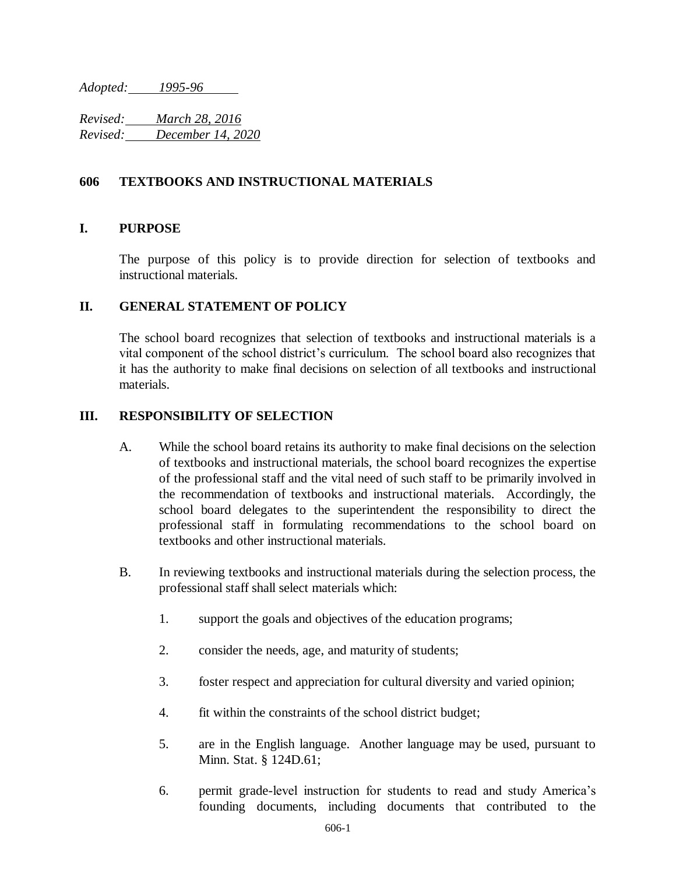*Adopted: 1995-96*

*Revised: March 28, 2016 Revised: December 14, 2020*

### **606 TEXTBOOKS AND INSTRUCTIONAL MATERIALS**

#### **I. PURPOSE**

The purpose of this policy is to provide direction for selection of textbooks and instructional materials.

#### **II. GENERAL STATEMENT OF POLICY**

The school board recognizes that selection of textbooks and instructional materials is a vital component of the school district's curriculum. The school board also recognizes that it has the authority to make final decisions on selection of all textbooks and instructional materials.

#### **III. RESPONSIBILITY OF SELECTION**

- A. While the school board retains its authority to make final decisions on the selection of textbooks and instructional materials, the school board recognizes the expertise of the professional staff and the vital need of such staff to be primarily involved in the recommendation of textbooks and instructional materials. Accordingly, the school board delegates to the superintendent the responsibility to direct the professional staff in formulating recommendations to the school board on textbooks and other instructional materials.
- B. In reviewing textbooks and instructional materials during the selection process, the professional staff shall select materials which:
	- 1. support the goals and objectives of the education programs;
	- 2. consider the needs, age, and maturity of students;
	- 3. foster respect and appreciation for cultural diversity and varied opinion;
	- 4. fit within the constraints of the school district budget;
	- 5. are in the English language. Another language may be used, pursuant to Minn. Stat. § 124D.61;
	- 6. permit grade-level instruction for students to read and study America's founding documents, including documents that contributed to the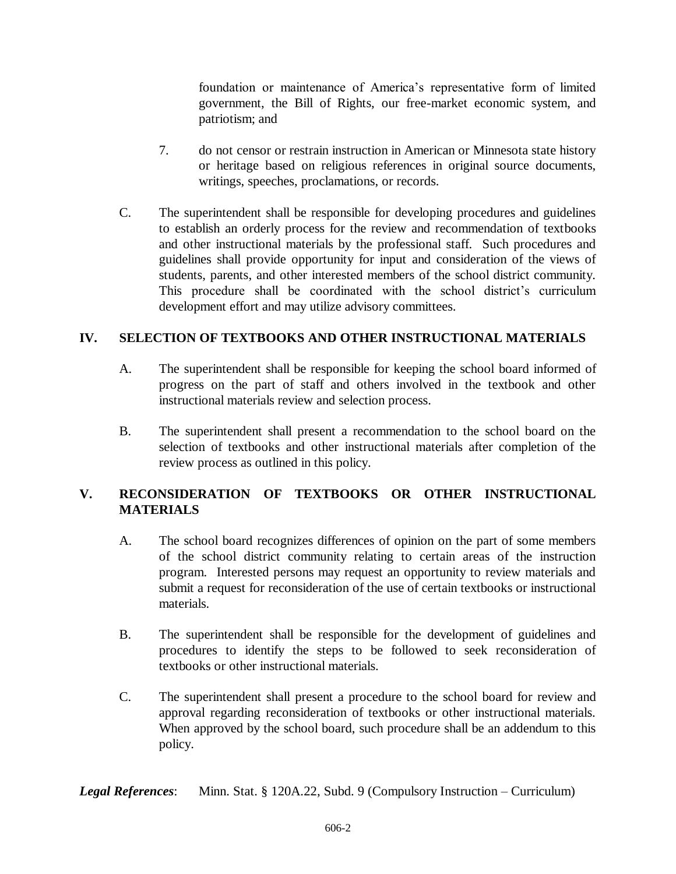foundation or maintenance of America's representative form of limited government, the Bill of Rights, our free-market economic system, and patriotism; and

- 7. do not censor or restrain instruction in American or Minnesota state history or heritage based on religious references in original source documents, writings, speeches, proclamations, or records.
- C. The superintendent shall be responsible for developing procedures and guidelines to establish an orderly process for the review and recommendation of textbooks and other instructional materials by the professional staff. Such procedures and guidelines shall provide opportunity for input and consideration of the views of students, parents, and other interested members of the school district community. This procedure shall be coordinated with the school district's curriculum development effort and may utilize advisory committees.

## **IV. SELECTION OF TEXTBOOKS AND OTHER INSTRUCTIONAL MATERIALS**

- A. The superintendent shall be responsible for keeping the school board informed of progress on the part of staff and others involved in the textbook and other instructional materials review and selection process.
- B. The superintendent shall present a recommendation to the school board on the selection of textbooks and other instructional materials after completion of the review process as outlined in this policy.

# **V. RECONSIDERATION OF TEXTBOOKS OR OTHER INSTRUCTIONAL MATERIALS**

- A. The school board recognizes differences of opinion on the part of some members of the school district community relating to certain areas of the instruction program. Interested persons may request an opportunity to review materials and submit a request for reconsideration of the use of certain textbooks or instructional materials.
- B. The superintendent shall be responsible for the development of guidelines and procedures to identify the steps to be followed to seek reconsideration of textbooks or other instructional materials.
- C. The superintendent shall present a procedure to the school board for review and approval regarding reconsideration of textbooks or other instructional materials. When approved by the school board, such procedure shall be an addendum to this policy.

*Legal References*: Minn. Stat. § 120A.22, Subd. 9 (Compulsory Instruction – Curriculum)